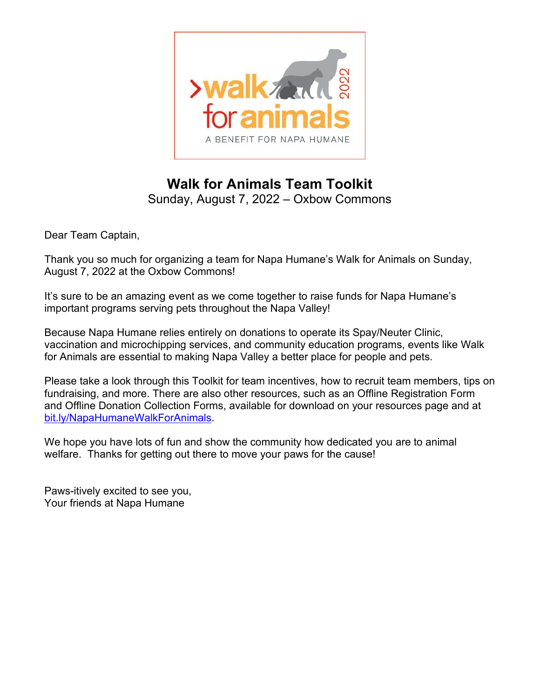

# **Walk for Animals Team Toolkit**

Sunday, August 7, 2022 – Oxbow Commons

Dear Team Captain,

Thank you so much for organizing a team for Napa Humane's Walk for Animals on Sunday, August 7, 2022 at the Oxbow Commons!

It's sure to be an amazing event as we come together to raise funds for Napa Humane's important programs serving pets throughout the Napa Valley!

Because Napa Humane relies entirely on donations to operate its Spay/Neuter Clinic, vaccination and microchipping services, and community education programs, events like Walk for Animals are essential to making Napa Valley a better place for people and pets.

Please take a look through this Toolkit for team incentives, how to recruit team members, tips on fundraising, and more. There are also other resources, such as an Offline Registration Form and Offline Donation Collection Forms, available for download on your resources page and at [bit.ly/NapaHumaneWalkForAnimals.](https://napahumane.org/events/walk-for-animals)

We hope you have lots of fun and show the community how dedicated you are to animal welfare. Thanks for getting out there to move your paws for the cause!

Paws-itively excited to see you, Your friends at Napa Humane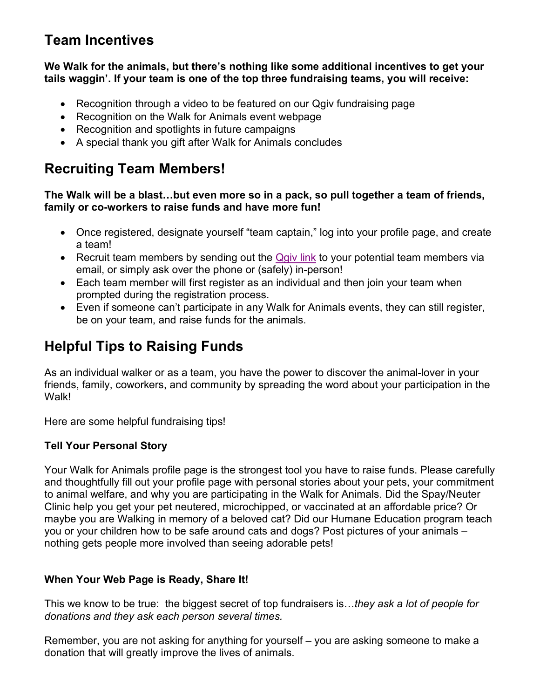# **Team Incentives**

#### **We Walk for the animals, but there's nothing like some additional incentives to get your tails waggin'. If your team is one of the top three fundraising teams, you will receive:**

- Recognition through a video to be featured on our Qgiv fundraising page
- Recognition on the Walk for Animals event webpage
- Recognition and spotlights in future campaigns
- A special thank you gift after Walk for Animals concludes

# **Recruiting Team Members!**

#### **The Walk will be a blast…but even more so in a pack, so pull together a team of friends, family or co-workers to raise funds and have more fun!**

- Once registered, designate yourself "team captain," log into your profile page, and create a team!
- Recruit team members by sending out the [Qgiv link](https://secure.qgiv.com/event/napawfa2022) to your potential team members via email, or simply ask over the phone or (safely) in-person!
- Each team member will first register as an individual and then join your team when prompted during the registration process.
- Even if someone can't participate in any Walk for Animals events, they can still register, be on your team, and raise funds for the animals.

# **Helpful Tips to Raising Funds**

As an individual walker or as a team, you have the power to discover the animal-lover in your friends, family, coworkers, and community by spreading the word about your participation in the Walk!

Here are some helpful fundraising tips!

### **Tell Your Personal Story**

Your Walk for Animals profile page is the strongest tool you have to raise funds. Please carefully and thoughtfully fill out your profile page with personal stories about your pets, your commitment to animal welfare, and why you are participating in the Walk for Animals. Did the Spay/Neuter Clinic help you get your pet neutered, microchipped, or vaccinated at an affordable price? Or maybe you are Walking in memory of a beloved cat? Did our Humane Education program teach you or your children how to be safe around cats and dogs? Post pictures of your animals – nothing gets people more involved than seeing adorable pets!

### **When Your Web Page is Ready, Share It!**

This we know to be true: the biggest secret of top fundraisers is…*they ask a lot of people for donations and they ask each person several times.* 

Remember, you are not asking for anything for yourself – you are asking someone to make a donation that will greatly improve the lives of animals.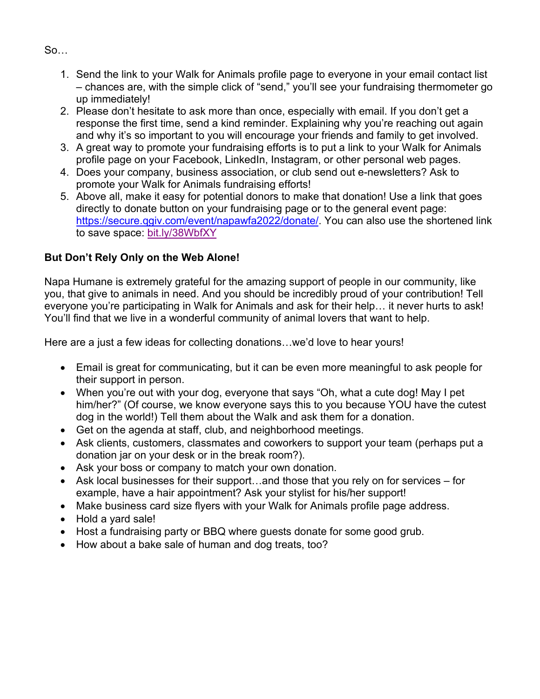$So$ 

- 1. Send the link to your Walk for Animals profile page to everyone in your email contact list – chances are, with the simple click of "send," you'll see your fundraising thermometer go up immediately!
- 2. Please don't hesitate to ask more than once, especially with email. If you don't get a response the first time, send a kind reminder. Explaining why you're reaching out again and why it's so important to you will encourage your friends and family to get involved.
- 3. A great way to promote your fundraising efforts is to put a link to your Walk for Animals profile page on your Facebook, LinkedIn, Instagram, or other personal web pages.
- 4. Does your company, business association, or club send out e-newsletters? Ask to promote your Walk for Animals fundraising efforts!
- 5. Above all, make it easy for potential donors to make that donation! Use a link that goes directly to donate button on your fundraising page or to the general event page: [https://secure.qgiv.com/event/napawfa2022/donate/.](https://secure.qgiv.com/event/napawfa2022/donate/) You can also use the shortened link to save space: [bit.ly/38WbfXY](https://bit.ly/38WbfXY)

## **But Don't Rely Only on the Web Alone!**

Napa Humane is extremely grateful for the amazing support of people in our community, like you, that give to animals in need. And you should be incredibly proud of your contribution! Tell everyone you're participating in Walk for Animals and ask for their help… it never hurts to ask! You'll find that we live in a wonderful community of animal lovers that want to help.

Here are a just a few ideas for collecting donations…we'd love to hear yours!

- Email is great for communicating, but it can be even more meaningful to ask people for their support in person.
- When you're out with your dog, everyone that says "Oh, what a cute dog! May I pet him/her?" (Of course, we know everyone says this to you because YOU have the cutest dog in the world!) Tell them about the Walk and ask them for a donation.
- Get on the agenda at staff, club, and neighborhood meetings.
- Ask clients, customers, classmates and coworkers to support your team (perhaps put a donation jar on your desk or in the break room?).
- Ask your boss or company to match your own donation.
- Ask local businesses for their support...and those that you rely on for services for example, have a hair appointment? Ask your stylist for his/her support!
- Make business card size flyers with your Walk for Animals profile page address.
- Hold a yard sale!
- Host a fundraising party or BBQ where guests donate for some good grub.
- How about a bake sale of human and dog treats, too?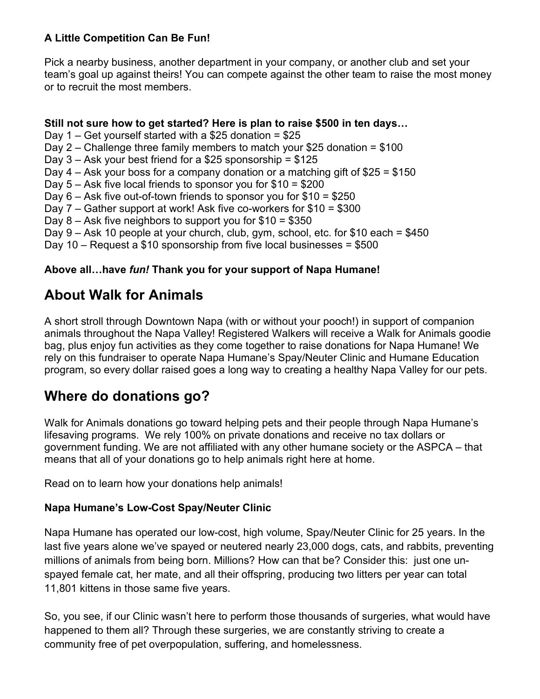### **A Little Competition Can Be Fun!**

Pick a nearby business, another department in your company, or another club and set your team's goal up against theirs! You can compete against the other team to raise the most money or to recruit the most members.

#### **Still not sure how to get started? Here is plan to raise \$500 in ten days…**

- Day 1 Get yourself started with a \$25 donation =  $$25$
- Day 2 Challenge three family members to match your \$25 donation =  $$100$
- Day  $3 -$  Ask your best friend for a \$25 sponsorship = \$125
- Day  $4 -$  Ask your boss for a company donation or a matching gift of \$25 = \$150
- Day 5 Ask five local friends to sponsor you for \$10 = \$200
- Day 6 Ask five out-of-town friends to sponsor you for \$10 = \$250
- Day 7 Gather support at work! Ask five co-workers for \$10 = \$300
- Day  $8 -$  Ask five neighbors to support you for  $$10 = $350$
- Day 9 Ask 10 people at your church, club, gym, school, etc. for \$10 each = \$450
- Day 10 Request a \$10 sponsorship from five local businesses = \$500

## **Above all…have** *fun!* **Thank you for your support of Napa Humane!**

## **About Walk for Animals**

A short stroll through Downtown Napa (with or without your pooch!) in support of companion animals throughout the Napa Valley! Registered Walkers will receive a Walk for Animals goodie bag, plus enjoy fun activities as they come together to raise donations for Napa Humane! We rely on this fundraiser to operate Napa Humane's Spay/Neuter Clinic and Humane Education program, so every dollar raised goes a long way to creating a healthy Napa Valley for our pets.

## **Where do donations go?**

Walk for Animals donations go toward helping pets and their people through Napa Humane's lifesaving programs. We rely 100% on private donations and receive no tax dollars or government funding. We are not affiliated with any other humane society or the ASPCA – that means that all of your donations go to help animals right here at home.

Read on to learn how your donations help animals!

### **Napa Humane's Low-Cost Spay/Neuter Clinic**

Napa Humane has operated our low-cost, high volume, Spay/Neuter Clinic for 25 years. In the last five years alone we've spayed or neutered nearly 23,000 dogs, cats, and rabbits, preventing millions of animals from being born. Millions? How can that be? Consider this: just one unspayed female cat, her mate, and all their offspring, producing two litters per year can total 11,801 kittens in those same five years.

So, you see, if our Clinic wasn't here to perform those thousands of surgeries, what would have happened to them all? Through these surgeries, we are constantly striving to create a community free of pet overpopulation, suffering, and homelessness.